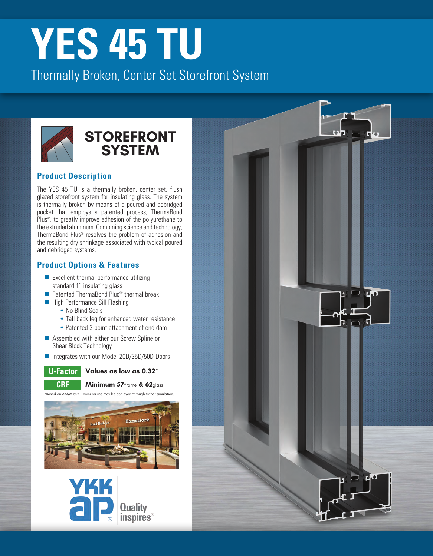# **YES [45 TU](https://www.ykkap.com/commercial/product/storefronts/yes-45-tu-center-set/)**

Thermally Broken, Center Set Storefront System



### **[STOREFRONT](https://www.ykkap.com/commercial/products/storefronts/) SYSTEM**

#### **Product Description**

The YES 45 TU is a thermally broken, center set, flush glazed storefront system for insulating glass. The system is thermally broken by means of a poured and debridged pocket that employs a patented process, ThermaBond Plus®, to greatly improve adhesion of the polyurethane to the extruded aluminum. Combining science and technology, ThermaBond Plus® resolves the problem of adhesion and the resulting dry shrinkage associated with typical poured and debridged systems.

#### **Product Options & Features**

- $\blacksquare$  Excellent thermal performance utilizing standard 1" insulating glass
- $\blacksquare$  Patented ThermaBond Plus® thermal break
- $\blacksquare$  High Performance Sill Flashing
	- $\bullet$  No Blind Seals
	- Tall back leg for enhanced water resistance
	- Patented 3-point attachment of end dam
- $\blacksquare$  Assembled with either our Screw Spline or Shear Block Technology
- Integrates with our Model 20D/35D/50D Doors



**Values as low as 0.32\***



**CRF Minimum 57**frame **& 62**glass